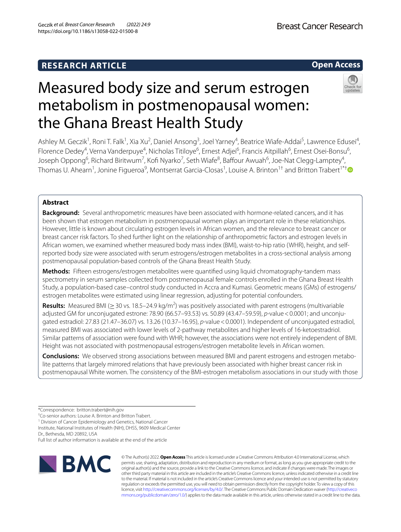# **RESEARCH ARTICLE**

# **Open Access**

# Measured body size and serum estrogen metabolism in postmenopausal women: the Ghana Breast Health Study

Ashley M. Geczik<sup>1</sup>, Roni T. Falk<sup>1</sup>, Xia Xu<sup>2</sup>, Daniel Ansong<sup>3</sup>, Joel Yarney<sup>4</sup>, Beatrice Wiafe-Addai<sup>5</sup>, Lawrence Edusei<sup>4</sup>,

Florence Dedey<sup>4</sup>, Verna Vanderpuye<sup>4</sup>, Nicholas Titiloye<sup>6</sup>, Ernest Adjei<sup>6</sup>, Francis Aitpillah<sup>6</sup>, Ernest Osei-Bonsu<sup>6</sup>, Joseph Oppong<sup>6</sup>, Richard Biritwum<sup>7</sup>, Kofi Nyarko<sup>7</sup>, Seth Wiafe<sup>8</sup>, Baffour Awuah<sup>6</sup>, Joe-Nat Clegg-Lamptey<sup>4</sup>, Thomas U. Ahearn<sup>1</sup>, Jonine Figueroa<sup>9</sup>, Montserrat Garcia-Closas<sup>1</sup>, Louise A. Brinton<sup>1[†](http://orcid.org/0000-0002-1539-6090)</sup> and Britton Trabert<sup>1\*†</sup>

# **Abstract**

**Background:** Several anthropometric measures have been associated with hormone-related cancers, and it has been shown that estrogen metabolism in postmenopausal women plays an important role in these relationships. However, little is known about circulating estrogen levels in African women, and the relevance to breast cancer or breast cancer risk factors. To shed further light on the relationship of anthropometric factors and estrogen levels in African women, we examined whether measured body mass index (BMI), waist-to-hip ratio (WHR), height, and selfreported body size were associated with serum estrogens/estrogen metabolites in a cross-sectional analysis among postmenopausal population-based controls of the Ghana Breast Health Study.

**Methods:** Fifteen estrogens/estrogen metabolites were quantifed using liquid chromatography-tandem mass spectrometry in serum samples collected from postmenopausal female controls enrolled in the Ghana Breast Health Study, a population-based case–control study conducted in Accra and Kumasi. Geometric means (GMs) of estrogens/ estrogen metabolites were estimated using linear regression, adjusting for potential confounders.

**Results:** Measured BMI (≥ 30 vs. 18.5–24.9 kg/m<sup>2</sup>) was positively associated with parent estrogens (multivariable adjusted GM for unconjugated estrone: 78.90 (66.57–93.53) vs. 50.89 (43.47–59.59), *p*-value < 0.0001; and unconjugated estradiol: 27.83 (21.47–36.07) vs. 13.26 (10.37–16.95), *p*-value<0.0001). Independent of unconjugated estradiol, measured BMI was associated with lower levels of 2-pathway metabolites and higher levels of 16-ketoestradriol. Similar patterns of association were found with WHR; however, the associations were not entirely independent of BMI. Height was not associated with postmenopausal estrogens/estrogen metabolite levels in African women.

**Conclusions:** We observed strong associations between measured BMI and parent estrogens and estrogen metabolite patterns that largely mirrored relations that have previously been associated with higher breast cancer risk in postmenopausal White women. The consistency of the BMI-estrogen metabolism associations in our study with those

<sup>1</sup> Division of Cancer Epidemiology and Genetics, National Cancer

Institute, National Institutes of Health (NIH), DHSS, 9609 Medical Center Dr., Bethesda, MD 20892, USA

Full list of author information is available at the end of the article



© The Author(s) 2022. **Open Access** This article is licensed under a Creative Commons Attribution 4.0 International License, which permits use, sharing, adaptation, distribution and reproduction in any medium or format, as long as you give appropriate credit to the original author(s) and the source, provide a link to the Creative Commons licence, and indicate if changes were made. The images or other third party material in this article are included in the article's Creative Commons licence, unless indicated otherwise in a credit line to the material. If material is not included in the article's Creative Commons licence and your intended use is not permitted by statutory regulation or exceeds the permitted use, you will need to obtain permission directly from the copyright holder. To view a copy of this licence, visit [http://creativecommons.org/licenses/by/4.0/.](http://creativecommons.org/licenses/by/4.0/) The Creative Commons Public Domain Dedication waiver ([http://creativeco](http://creativecommons.org/publicdomain/zero/1.0/) [mmons.org/publicdomain/zero/1.0/](http://creativecommons.org/publicdomain/zero/1.0/)) applies to the data made available in this article, unless otherwise stated in a credit line to the data.

<sup>\*</sup>Correspondence: britton.trabert@nih.gov

<sup>†</sup> Co-senior authors: Louise A. Brinton and Britton Trabert.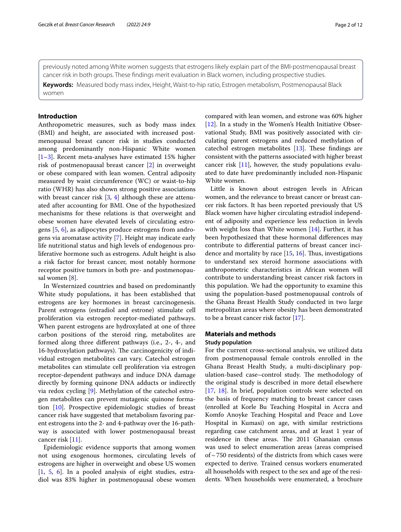previously noted among White women suggests that estrogens likely explain part of the BMI-postmenopausal breast cancer risk in both groups. These fndings merit evaluation in Black women, including prospective studies.

**Keywords:** Measured body mass index, Height, Waist-to-hip ratio, Estrogen metabolism, Postmenopausal Black women

# **Introduction**

Anthropometric measures, such as body mass index (BMI) and height, are associated with increased postmenopausal breast cancer risk in studies conducted among predominantly non-Hispanic White women [[1–](#page-10-0)[3\]](#page-10-1). Recent meta-analyses have estimated 15% higher risk of postmenopausal breast cancer [\[2](#page-10-2)] in overweight or obese compared with lean women. Central adiposity measured by waist circumference (WC) or waist-to-hip ratio (WHR) has also shown strong positive associations with breast cancer risk [[3,](#page-10-1) [4](#page-10-3)] although these are attenuated after accounting for BMI. One of the hypothesized mechanisms for these relations is that overweight and obese women have elevated levels of circulating estrogens [\[5,](#page-10-4) [6\]](#page-10-5), as adipocytes produce estrogens from androgens via aromatase activity [[7](#page-10-6)]. Height may indicate early life nutritional status and high levels of endogenous proliferative hormone such as estrogens. Adult height is also a risk factor for breast cancer, most notably hormone receptor positive tumors in both pre- and postmenopausal women [[8](#page-10-7)].

In Westernized countries and based on predominantly White study populations, it has been established that estrogens are key hormones in breast carcinogenesis. Parent estrogens (estradiol and estrone) stimulate cell proliferation via estrogen receptor-mediated pathways. When parent estrogens are hydroxylated at one of three carbon positions of the steroid ring, metabolites are formed along three diferent pathways (i.e., 2-, 4-, and 16-hydroxylation pathways). The carcinogenicity of individual estrogen metabolites can vary. Catechol estrogen metabolites can stimulate cell proliferation via estrogen receptor-dependent pathways and induce DNA damage directly by forming quinone DNA adducts or indirectly via redox cycling [\[9\]](#page-10-8). Methylation of the catechol estrogen metabolites can prevent mutagenic quinone formation [[10\]](#page-10-9). Prospective epidemiologic studies of breast cancer risk have suggested that metabolism favoring parent estrogens into the 2- and 4-pathway over the 16-pathway is associated with lower postmenopausal breast cancer risk [[11](#page-10-10)].

Epidemiologic evidence supports that among women not using exogenous hormones, circulating levels of estrogens are higher in overweight and obese US women [[1,](#page-10-0) [5,](#page-10-4) [6](#page-10-5)]. In a pooled analysis of eight studies, estradiol was 83% higher in postmenopausal obese women

compared with lean women, and estrone was 60% higher [[12\]](#page-10-11). In a study in the Women's Health Initiative Observational Study, BMI was positively associated with circulating parent estrogens and reduced methylation of catechol estrogen metabolites  $[13]$  $[13]$ . These findings are consistent with the patterns associated with higher breast cancer risk  $[11]$ , however, the study populations evaluated to date have predominantly included non-Hispanic White women.

Little is known about estrogen levels in African women, and the relevance to breast cancer or breast cancer risk factors. It has been reported previously that US Black women have higher circulating estradiol independent of adiposity and experience less reduction in levels with weight loss than White women [[14\]](#page-10-13). Further, it has been hypothesized that these hormonal diferences may contribute to diferential patterns of breast cancer incidence and mortality by race  $[15, 16]$  $[15, 16]$  $[15, 16]$  $[15, 16]$ . Thus, investigations to understand sex steroid hormone associations with anthropometric characteristics in African women will contribute to understanding breast cancer risk factors in this population. We had the opportunity to examine this using the population-based postmenopausal controls of the Ghana Breast Health Study conducted in two large metropolitan areas where obesity has been demonstrated to be a breast cancer risk factor [[17\]](#page-11-1).

# **Materials and methods**

#### **Study population**

For the current cross-sectional analysis, we utilized data from postmenopausal female controls enrolled in the Ghana Breast Health Study, a multi-disciplinary population-based case-control study. The methodology of the original study is described in more detail elsewhere [[17,](#page-11-1) [18\]](#page-11-2). In brief, population controls were selected on the basis of frequency matching to breast cancer cases (enrolled at Korle Bu Teaching Hospital in Accra and Komfo Anoyke Teaching Hospital and Peace and Love Hospital in Kumasi) on age, with similar restrictions regarding case catchment areas, and at least 1 year of residence in these areas. The 2011 Ghanaian census was used to select enumeration areas (areas comprised of  $\sim$  750 residents) of the districts from which cases were expected to derive. Trained census workers enumerated all households with respect to the sex and age of the residents. When households were enumerated, a brochure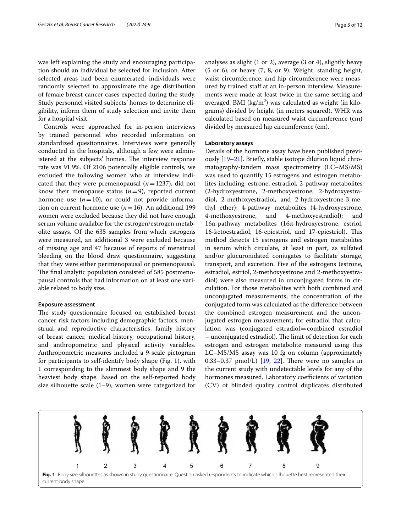was left explaining the study and encouraging participation should an individual be selected for inclusion. After selected areas had been enumerated, individuals were randomly selected to approximate the age distribution of female breast cancer cases expected during the study. Study personnel visited subjects' homes to determine eligibility, inform them of study selection and invite them for a hospital visit.

Controls were approached for in-person interviews by trained personnel who recorded information on standardized questionnaires. Interviews were generally conducted in the hospitals, although a few were administered at the subjects' homes. The interview response rate was 91.9%. Of 2106 potentially eligible controls, we excluded the following women who at interview indicated that they were premenopausal (*n*=1237), did not know their menopause status  $(n=9)$ , reported current hormone use  $(n=10)$ , or could not provide information on current hormone use (*n*=16). An additional 199 women were excluded because they did not have enough serum volume available for the estrogen/estrogen metabolite assays. Of the 635 samples from which estrogens were measured, an additional 3 were excluded because of missing age and 47 because of reports of menstrual bleeding on the blood draw questionnaire, suggesting that they were either perimenopausal or premenopausal. The final analytic population consisted of 585 postmenopausal controls that had information on at least one variable related to body size.

#### **Exposure assessment**

The study questionnaire focused on established breast cancer risk factors including demographic factors, menstrual and reproductive characteristics, family history of breast cancer, medical history, occupational history, and anthropometric and physical activity variables. Anthropometric measures included a 9-scale pictogram for participants to self-identify body shape (Fig. [1\)](#page-2-0), with 1 corresponding to the slimmest body shape and 9 the heaviest body shape. Based on the self-reported body size silhouette scale (1–9), women were categorized for analyses as slight (1 or 2), average (3 or 4), slightly heavy (5 or 6), or heavy (7, 8, or 9). Weight, standing height, waist circumference, and hip circumference were measured by trained staf at an in-person interview. Measurements were made at least twice in the same setting and averaged. BMI  $(kg/m^2)$  was calculated as weight (in kilograms) divided by height (in meters squared). WHR was calculated based on measured waist circumference (cm) divided by measured hip circumference (cm).

## **Laboratory assays**

Details of the hormone assay have been published previously [[19–](#page-11-3)[21](#page-11-4)]. Briefy, stable isotope dilution liquid chromatography-tandem mass spectrometry (LC–MS/MS) was used to quantify 15 estrogens and estrogen metabolites including: estrone, estradiol, 2-pathway metabolites (2-hydroxyestrone, 2-methoxyestrone, 2-hydroxyestradiol, 2-methoxyestradiol, and 2-hydroxyestrone-3-methyl ether); 4-pathway metabolites (4-hydroxyestrone, 4-methoxyestrone, and 4-methoxyestradiol); and 16α-pathway metabolites (16α-hydroxyestrone, estriol, 16-ketoestradiol, 16-epiestriol, and 17-epiestriol). This method detects 15 estrogens and estrogen metabolites in serum which circulate, at least in part, as sulfated and/or glucuronidated conjugates to facilitate storage, transport, and excretion. Five of the estrogens (estrone, estradiol, estriol, 2-methoxyestrone and 2-methoxyestradiol) were also measured in unconjugated forms in circulation. For those metabolites with both combined and unconjugated measurements, the concentration of the conjugated form was calculated as the diference between the combined estrogen measurement and the unconjugated estrogen measurement; for estradiol that calculation was (conjugated estradiol=combined estradiol – unconjugated estradiol). The limit of detection for each estrogen and estrogen metabolite measured using this LC–MS/MS assay was 10 fg on column (approximately 0.33–0.37  $pmol/L$ ) [\[19](#page-11-3), [22\]](#page-11-5). There were no samples in the current study with undetectable levels for any of the hormones measured. Laboratory coefficients of variation (CV) of blinded quality control duplicates distributed

<span id="page-2-0"></span>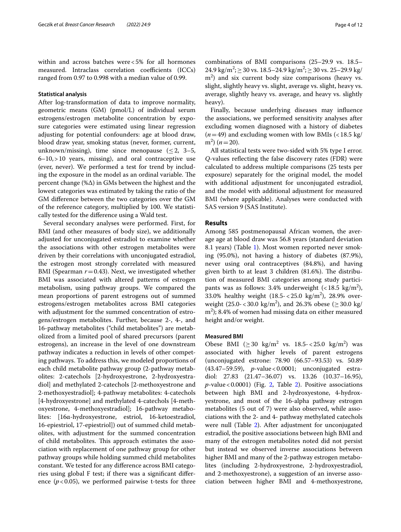within and across batches were<5% for all hormones measured. Intraclass correlation coefficients (ICCs) ranged from 0.97 to 0.998 with a median value of 0.99.

# **Statistical analysis**

After log-transformation of data to improve normality, geometric means (GM) (pmol/L) of individual serum estrogens/estrogen metabolite concentration by exposure categories were estimated using linear regression adjusting for potential confounders: age at blood draw, blood draw year, smoking status (never, former, current, unknown/missing), time since menopause  $(\leq 2, 3-5,$  $6-10$ ,  $>10$  years, missing), and oral contraceptive use (ever, never). We performed a test for trend by including the exposure in the model as an ordinal variable. The percent change (%Δ) in GMs between the highest and the lowest categories was estimated by taking the ratio of the GM diference between the two categories over the GM of the reference category, multiplied by 100. We statistically tested for the diference using a Wald test.

Several secondary analyses were performed. First, for BMI (and other measures of body size), we additionally adjusted for unconjugated estradiol to examine whether the associations with other estrogen metabolites were driven by their correlations with unconjugated estradiol, the estrogen most strongly correlated with measured BMI (Spearman  $r = 0.43$ ). Next, we investigated whether BMI was associated with altered patterns of estrogen metabolism, using pathway groups. We compared the mean proportions of parent estrogens out of summed estrogens/estrogen metabolites across BMI categories with adjustment for the summed concentration of estrogens/estrogen metabolites. Further, because 2-, 4-, and 16-pathway metabolites ("child metabolites") are metabolized from a limited pool of shared precursors (parent estrogens), an increase in the level of one downstream pathway indicates a reduction in levels of other competing pathways. To address this, we modeled proportions of each child metabolite pathway group (2-pathway metabolites: 2-catechols [2-hydroxyestrone, 2-hydroxyestradiol] and methylated 2-catechols [2-methoxyestrone and 2-methoxyestradiol]; 4-pathway metabolites: 4-catechols [4-hydroxyestrone] and methylated 4-catechols [4-methoxyestrone, 4-methoxyestradiol]; 16-pathway metabolites: [16α-hydroxyestrone, estriol, 16-ketoestradiol, 16-epiestriol, 17-epiestriol]) out of summed child metabolites, with adjustment for the summed concentration of child metabolites. This approach estimates the association with replacement of one pathway group for other pathway groups while holding summed child metabolites constant. We tested for any diference across BMI categories using global F test; if there was a signifcant diference  $(p<0.05)$ , we performed pairwise t-tests for three combinations of BMI comparisons (25–29.9 vs. 18.5–  $24.9 \text{ kg/m}^2$ ;  $\geq 30 \text{ vs. } 18.5 - 24.9 \text{ kg/m}^2$ ;  $\geq 30 \text{ vs. } 25 - 29.9 \text{ kg/m}^2$ m2 ) and six current body size comparisons (heavy vs. slight, slightly heavy vs. slight, average vs. slight, heavy vs. average, slightly heavy vs. average, and heavy vs. slightly heavy).

Finally, because underlying diseases may infuence the associations, we performed sensitivity analyses after excluding women diagnosed with a history of diabetes  $(n=49)$  and excluding women with low BMIs  $\left($  < 18.5 kg/  $(m^2)$  ( $n = 20$ ).

All statistical tests were two-sided with 5% type I error. *Q*-values refecting the false discovery rates (FDR) were calculated to address multiple comparisons (25 tests per exposure) separately for the original model, the model with additional adjustment for unconjugated estradiol, and the model with additional adjustment for measured BMI (where applicable). Analyses were conducted with SAS version 9 (SAS Institute).

# **Results**

Among 585 postmenopausal African women, the average age at blood draw was 56.8 years (standard deviation 8.1 years) (Table [1](#page-4-0)). Most women reported never smoking (95.0%), not having a history of diabetes (87.9%), never using oral contraceptives (84.8%), and having given birth to at least 3 children  $(81.6%)$ . The distribution of measured BMI categories among study participants was as follows:  $3.4\%$  underweight (<18.5  $\text{kg/m}^2$ ), 33.0% healthy weight  $(18.5 - 25.0 \text{ kg/m}^2)$ , 28.9% overweight (25.0-<30.0 kg/m<sup>2</sup>), and 26.3% obese ( $\geq$ 30.0 kg/  $m<sup>2</sup>$ ); 8.4% of women had missing data on either measured height and/or weight.

#### **Measured BMI**

Obese BMI  $(\geq 30 \text{ kg/m}^2 \text{ vs. } 18.5 \leq 25.0 \text{ kg/m}^2)$  was associated with higher levels of parent estrogens (unconjugated estrone: 78.90 (66.57–93.53) vs. 50.89 (43.47–59.59), *p*-value<0.0001; unconjugated estradiol: 27.83 (21.47–36.07) vs. 13.26 (10.37–16.95), *p*-value<0.0001) (Fig. [2,](#page-5-0) Table [2](#page-6-0)). Positive associations between high BMI and 2-hydroxyestone, 4-hydroxyestrone, and most of the 16-alpha pathway estrogen metabolites (5 out of 7) were also observed, while associations with the 2- and 4- pathway methylated catechols were null (Table [2](#page-6-0)). After adjustment for unconjugated estradiol, the positive associations between high BMI and many of the estrogen metabolites noted did not persist but instead we observed inverse associations between higher BMI and many of the 2-pathway estrogen metabolites (including 2-hydroxyestrone, 2-hydroxyestradiol, and 2-methoxyestrone), a suggestion of an inverse association between higher BMI and 4-methoxyestrone,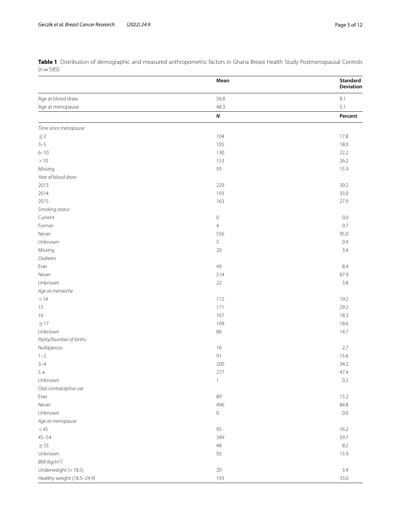<span id="page-4-0"></span>**Table 1** Distribution of demographic and measured anthropometric factors in Ghana Breast Health Study Postmenopausal Controls (*n*=585)

|                            | Mean           | Standard<br>Deviation |
|----------------------------|----------------|-----------------------|
| Age at blood draw          | 56.8           | 8.1                   |
| Age at menopause           | 48.3           | 5.1                   |
|                            | $\pmb N$       | Percent               |
| Time since menopause       |                |                       |
| $\leq$ 2                   | 104            | 17.8                  |
| $3 - 5$                    | 105            | 18.0                  |
| $6 - 10$                   | 130            | 22.2                  |
| $>10$                      | 153            | 26.2                  |
| Missing                    | 93             | 15.9                  |
| Year of blood draw         |                |                       |
| 2013                       | 229            | 39.2                  |
| 2014                       | 193            | 33.0                  |
| 2015                       | 163            | 27.9                  |
| Smoking status             |                |                       |
| Current                    | $\mathbf 0$    | $0.0\,$               |
| Former                     | $\overline{4}$ | 0.7                   |
| Never                      | 556            | 95.0                  |
| Unknown                    | 5              | 0.9                   |
| Missing                    | 20             | 3.4                   |
| <b>Diabetes</b>            |                |                       |
| Ever                       | 49             | 8.4                   |
| Never                      | 514            | 87.9                  |
| Unknown                    | 22             | 3.8                   |
| Age at menarche            |                |                       |
| < 14                       | 112            | 19.2                  |
| 15                         | 171            | 29.2                  |
| 16                         | 107            | 18.3                  |
| $\geq$ 17                  | 109            | 18.6                  |
| Unknown                    | 86             | 14.7                  |
| Parity/Number of births    |                |                       |
| Nulliparous                | 16             | 2.7                   |
| $1 - 2$                    | 91             | 15.6                  |
|                            |                |                       |
| $3 - 4$                    | 200            | 34.2                  |
| $5+$                       | 277            | 47.4                  |
| Unknown                    | $\mathbf{1}$   | $0.2\,$               |
| Oral contraceptive use     |                |                       |
| Ever                       | 89             | 15.2                  |
| Never                      | 496            | 84.8                  |
| Unknown                    | $\mathbf 0$    | $0.0\,$               |
| Age at menopause           |                |                       |
| $<$ 45                     | 95             | 16.2                  |
| $45 - 54$                  | 349            | 59.7                  |
| $\geq$ 55                  | 48             | 8.2                   |
| Unknown                    | 93             | 15.9                  |
| BMI (kg/m <sup>2</sup> )   |                |                       |
| Underweight (< 18.5)       | $20\,$         | 3.4                   |
| Healthy weight (18.5-24.9) | 193            | 33.0                  |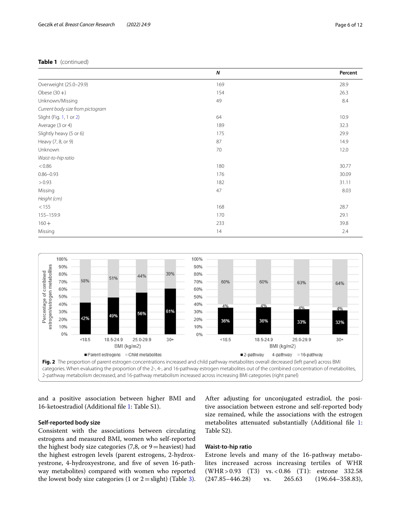# **Table 1** (continued)

|                                  | N   | Percent |
|----------------------------------|-----|---------|
| Overweight (25.0-29.9)           | 169 | 28.9    |
| Obese $(30+)$                    | 154 | 26.3    |
| Unknown/Missing                  | 49  | 8.4     |
| Current body size from pictogram |     |         |
| Slight (Fig. 1, 1 or 2)          | 64  | 10.9    |
| Average (3 or 4)                 | 189 | 32.3    |
| Slightly heavy (5 or 6)          | 175 | 29.9    |
| Heavy (7, 8, or 9)               | 87  | 14.9    |
| Unknown                          | 70  | 12.0    |
| Waist-to-hip ratio               |     |         |
| < 0.86                           | 180 | 30.77   |
| $0.86 - 0.93$                    | 176 | 30.09   |
| > 0.93                           | 182 | 31.11   |
| Missing                          | 47  | 8.03    |
| Height (cm)                      |     |         |
| < 155                            | 168 | 28.7    |
| 155-159.9                        | 170 | 29.1    |
| $160 +$                          | 233 | 39.8    |
| Missing                          | 14  | 2.4     |



<span id="page-5-0"></span>and a positive association between higher BMI and 16-ketoestradiol (Additional fle [1](#page-10-15): Table S1).

# **Self‑reported body size**

Consistent with the associations between circulating estrogens and measured BMI, women who self-reported the highest body size categories  $(7, 8, 0, 9)$  = heaviest) had the highest estrogen levels (parent estrogens, 2-hydroxyestrone, 4-hydroxyestrone, and fve of seven 16-pathway metabolites) compared with women who reported the lowest body size categories (1 or  $2 =$  slight) (Table [3](#page-7-0)).

After adjusting for unconjugated estradiol, the positive association between estrone and self-reported body size remained, while the associations with the estrogen metabolites attenuated substantially (Additional fle [1](#page-10-15): Table S2).

# **Waist‑to‑hip ratio**

Estrone levels and many of the 16-pathway metabolites increased across increasing tertiles of WHR (WHR> 0.93 (T3) vs. < 0.86 (T1): estrone 332.58<br>(247.85–446.28) vs. 265.63 (196.64–358.83).  $(247.85-446.28)$  vs.  $265.63$   $(196.64-358.83)$ ,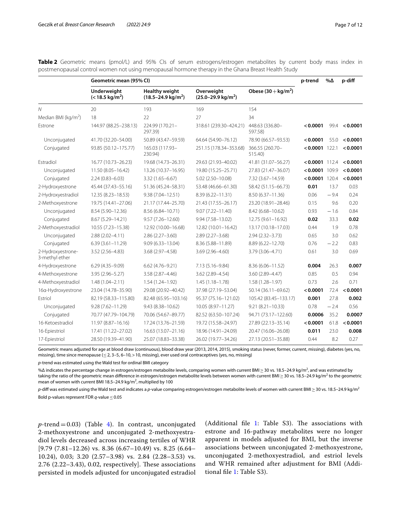|                                     | Geometric mean (95% CI)                         |                                                         |                                              |                            | p-trend          | %Δ     | p-diff   |
|-------------------------------------|-------------------------------------------------|---------------------------------------------------------|----------------------------------------------|----------------------------|------------------|--------|----------|
|                                     | <b>Underweight</b><br>$(< 18.5 \text{ kg/m}^2)$ | <b>Healthy weight</b><br>$(18.5 - 24.9 \text{ kg/m}^2)$ | Overweight<br>$(25.0 - 29.9 \text{ kg/m}^2)$ | Obese $(30 + kg/m2)$       |                  |        |          |
| $\mathcal N$                        | 20                                              | 193                                                     | 169                                          | 154                        |                  |        |          |
| Median BMI ( $\text{kg/m}^2$ )      | 18                                              | 22                                                      | 27                                           | 34                         |                  |        |          |
| Estrone                             | 144.97 (88.25-238.13)                           | 224.99 (170.21-<br>297.39)                              | 318.61 (239.30-424.21)                       | 448.63 (336.80-<br>597.58) | < 0.0001         | 99.4   | < 0.0001 |
| Unconjugated                        | 41.70 (32.20-54.00)                             | 50.89 (43.47-59.59)                                     | 64.64 (54.90-76.12)                          | 78.90 (66.57-93.53)        | < 0.0001         | 55.0   | < 0.0001 |
| Conjugated                          | 93.85 (50.12-175.77)                            | 165.03 (117.93-<br>230.94)                              | 251.15 (178.34-353.68)                       | 366.55 (260.70-<br>515.40) | $< 0.0001$ 122.1 |        | < 0.0001 |
| <b>Fstradiol</b>                    | 16.77 (10.73-26.23)                             | 19.68 (14.73-26.31)                                     | 29.63 (21.93-40.02)                          | 41.81 (31.07-56.27)        | $< 0.0001$ 112.4 |        | < 0.0001 |
| Unconjugated                        | 11.50 (8.05-16.42)                              | 13.26 (10.37-16.95)                                     | 19.80 (15.25-25.71)                          | 27.83 (21.47-36.07)        | $< 0.0001$ 109.9 |        | < 0.0001 |
| Conjugated                          | $2.24(0.83 - 6.03)$                             | 3.32 (1.65-6.67)                                        | 5.02 (2.50-10.08)                            | 7.32 (3.67-14.59)          | $< 0.0001$ 120.4 |        | < 0.0001 |
| 2-Hydroxyestrone                    | 45.44 (37.43-55.16)                             | 51.36 (45.24-58.31)                                     | 53.48 (46.66-61.30)                          | 58.42 (51.15-66.73)        | 0.01             | 13.7   | 0.03     |
| 2-Hydroxyestradiol                  | 12.35 (8.23-18.53)                              | $9.38(7.04 - 12.51)$                                    | 8.39 (6.22-11.31)                            | 8.50 (6.37-11.36)          | 0.06             | $-9.4$ | 0.24     |
| 2-Methoxyestrone                    | 19.75 (14.41-27.06)                             | 21.17 (17.44-25.70)                                     | 21.43 (17.55-26.17)                          | 23.20 (18.91-28.46)        | 0.15             | 9.6    | 0.20     |
| Unconjugated                        | 8.54 (5.90-12.36)                               | 8.56 (6.84-10.71)                                       | $9.07(7.22 - 11.40)$                         | 8.42 (6.68-10.62)          | 0.93             | $-1.6$ | 0.84     |
| Conjugated                          | 8.67 (5.29-14.21)                               | $9.57(7.26 - 12.60)$                                    | 9.94 (7.58-13.02)                            | 12.75 (9.61-16.92)         | 0.02             | 33.3   | 0.02     |
| 2-Methoxyestradiol                  | 10.55 (7.23-15.38)                              | 12.92 (10.00-16.68)                                     | 12.82 (10.01-16.42)                          | 13.17 (10.18-17.03)        | 0.44             | 1.9    | 0.78     |
| Unconjugated                        | $2.88(2.02 - 4.11)$                             | $2.86(2.27 - 3.60)$                                     | $2.89(2.27 - 3.68)$                          | $2.94(2.32 - 3.73)$        | 0.65             | 3.0    | 0.62     |
| Conjugated                          | $6.39(3.61 - 11.29)$                            | $9.09(6.33 - 13.04)$                                    | 8.36 (5.88-11.89)                            | 8.89 (6.22-12.70)          | 0.76             | $-2.2$ | 0.83     |
| 2-Hydroxyestrone-<br>3-methyl ether | 3.52 (2.56-4.83)                                | 3.68 (2.97-4.58)                                        | 3.69 (2.96-4.60)                             | 3.79 (3.06-4.71)           | 0.61             | 3.0    | 0.69     |
| 4-Hydroxyestrone                    | $6.29(4.35 - 9.09)$                             | $6.62(4.76 - 9.21)$                                     | 7.13 (5.16-9.84)                             | 8.36 (6.06-11.52)          | 0.004            | 26.3   | 0.007    |
| 4-Methoxyestrone                    | 3.95 (2.96-5.27)                                | $3.58(2.87 - 4.46)$                                     | 3.62 (2.89-4.54)                             | 3.60 (2.89-4.47)           | 0.85             | 0.5    | 0.94     |
| 4-Methoxyestradiol                  | $1.48(1.04 - 2.11)$                             | $1.54(1.24 - 1.92)$                                     | $1.45(1.18 - 1.78)$                          | 1.58 (1.28-1.97)           | 0.73             | 2.6    | 0.71     |
| 16a-Hydroxyestrone                  | 23.04 (14.78-35.90)                             | 29.08 (20.92-40.42)                                     | 37.98 (27.19-53.04)                          | 50.14 (36.11-69.62)        | < 0.0001         | 72.4   | < 0.0001 |
| Estriol                             | 82.19 (58.33-115.80)                            | 82.48 (65.95 - 103.16)                                  | 95.37 (75.16-121.02)                         | 105.42 (83.45-133.17)      | 0.001            | 27.8   | 0.002    |
| Unconjugated                        | 9.28 (7.62-11.29)                               | 9.43 (8.38-10.62)                                       | 10.05 (8.97-11.27)                           | $9.21(8.21 - 10.33)$       | 0.78             | $-2.4$ | 0.56     |
| Conjugated                          | 70.77 (47.79-104.79)                            | 70.06 (54.67-89.77)                                     | 82.52 (63.50-107.24)                         | 94.71 (73.17-122.60)       | 0.0006           | 35.2   | 0.0007   |
| 16-Ketoestradiol                    | 11.97 (8.87-16.16)                              | 17.24 (13.76-21.59)                                     | 19.72 (15.58-24.97)                          | 27.89 (22.13-35.14)        | < 0.0001         | 61.8   | < 0.0001 |
| 16-Epiestriol                       | 17.41 (11.22-27.02)                             | 16.63 (13.07-21.16)                                     | 18.96 (14.91-24.09)                          | 20.47 (16.06-26.08)        | 0.011            | 23.0   | 0.008    |
| 17-Epiestriol                       | 28.50 (19.39-41.90)                             | 25.07 (18.83-33.38)                                     | 26.02 (19.77-34.26)                          | 27.13 (20.51-35.88)        | 0.44             | 8.2    | 0.27     |

<span id="page-6-0"></span>**Table 2** Geometric means (pmol/L) and 95% CIs of serum estrogens/estrogen metabolites by current body mass index in postmenopausal control women not using menopausal hormone therapy in the Ghana Breast Health Study

Geometric means adjusted for age at blood draw (continuous), blood draw year (2013, 2014, 2015), smoking status (never, former, current, missing), diabetes (yes, no, missing), time since menopause ( $\leq$  2, 3–5, 6–10, > 10, missing), ever used oral contraceptives (yes, no, missing)

*p-*trend was estimated using the Wald test for ordinal BMI category

% $\Delta$  indicates the percentage change in estrogen/estrogen metabolite levels, comparing women with current BMI $\geq$  30 vs. 18.5–24.9 kg/m<sup>2</sup>, and was estimated by taking the ratio of the geometric mean difference in estrogen/estrogen metabolite levels between women with current BMI ≥ 30 vs. 18.5–24.9 kg/m<sup>2</sup> to the geometric mean of women with current BMI 18.5–24.9 kg/m<sup>2</sup>, multiplied by 100

*p-*dif was estimated using the Wald test and indicates a *p-*value comparing estrogen/estrogen metabolite levels of women with current BMI≥30 vs. 18.5–24.9 kg/m<sup>2</sup>

Bold p-values represent FDR *q*-value ≤0.05

 $p$ -trend = 0.03) (Table [4\)](#page-8-0). In contrast, unconjugated 2-methoxyestrone and unconjugated 2-methoxyestradiol levels decreased across increasing tertiles of WHR  $[9.79 (7.81 - 12.26)$  vs. 8.36  $(6.67 - 10.49)$  vs. 8.25  $(6.64 -$ 10.24), 0.03; 3.20 (2.57–3.98) vs. 2.84 (2.28–3.53) vs.  $2.76$  ( $2.22-3.43$ ),  $0.02$ , respectively]. These associations persisted in models adjusted for unconjugated estradiol (Additional file  $1:$  Table S3). The associations with estrone and 16-pathway metabolites were no longer apparent in models adjusted for BMI, but the inverse associations between unconjugated 2-methoxyestrone, unconjugated 2-methoxyestradiol, and estriol levels and WHR remained after adjustment for BMI (Additional fle [1:](#page-10-15) Table S3).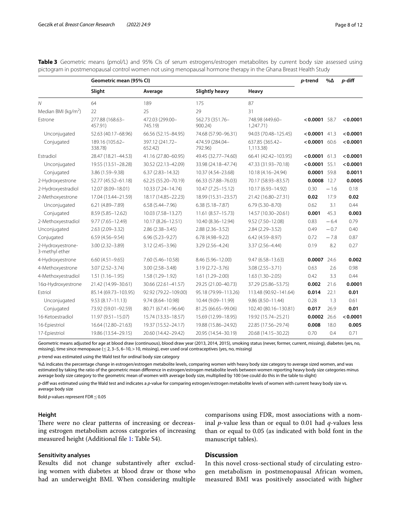|                                     | Geometric mean (95% CI)    |                            |                            | p-trend                      | $\% \Delta$     | p-diff |          |
|-------------------------------------|----------------------------|----------------------------|----------------------------|------------------------------|-----------------|--------|----------|
|                                     | Slight                     | Average                    | <b>Slightly heavy</b>      | Heavy                        |                 |        |          |
| N                                   | 64                         | 189                        | 175                        | 87                           |                 |        |          |
| Median BMI (kg/m <sup>2</sup> )     | 22                         | 25                         | 29                         | 31                           |                 |        |          |
| Estrone                             | 277.88 (168.63-<br>457.91) | 472.03 (299.00-<br>745.19) | 562.73 (351.76-<br>900.24) | 748.98 (449.60-<br>1,247.71) | $< 0.0001$ 58.7 |        | < 0.0001 |
| Unconjugated                        | 52.63 (40.17-68.96)        | 66.56 (52.15-84.95)        | 74.68 (57.90-96.31)        | 94.03 (70.48-125.45)         | < 0.0001        | 41.3   | < 0.0001 |
| Conjugated                          | 189.16 (105.62-<br>338.78) | 397.12 (241.72-<br>652.42  | 474.59 (284.04-<br>792.96) | 637.85 (365.42-<br>1,113.38) | $< 0.0001$ 60.6 |        | < 0.0001 |
| Estradiol                           | 28.47 (18.21-44.53)        | 41.16 (27.80-60.95)        | 49.45 (32.77-74.60)        | 66.41 (42.42-103.95)         | $< 0.0001$ 61.3 |        | < 0.0001 |
| Unconjugated                        | 19.55 (13.51-28.28)        | 30.52 (22.13-42.09)        | 33.98 (24.18-47.74)        | 47.33 (31.93-70.18)          | < 0.0001        | 55.1   | < 0.0001 |
| Conjugated                          | 3.86 (1.59-9.38)           | $6.37(2.83 - 14.32)$       | 10.37 (4.54-23.68)         | 10.18 (4.16-24.94)           | 0.0001 59.8     |        | 0.0011   |
| 2-Hydroxyestrone                    | 52.77 (45.52-61.18)        | 62.25 (55.20-70.19)        | 66.33 (57.88-76.03)        | 70.17 (58.93-83.57)          | 0.0008 12.7     |        | 0.0005   |
| 2-Hydroxyestradiol                  | 12.07 (8.09-18.01)         | 10.33 (7.24-14.74)         | 10.47 (7.25-15.12)         | 10.17 (6.93-14.92)           | 0.30            | $-1.6$ | 0.18     |
| 2-Methoxyestrone                    | 17.04 (13.44-21.59)        | 18.17 (14.85-22.23)        | 18.99 (15.31-23.57)        | 21.42 (16.80-27.31)          | 0.02            | 17.9   | 0.02     |
| Unconjugated                        | 6.21 (4.89-7.89)           | $6.58(5.44 - 7.96)$        | $6.38(5.18 - 7.87)$        | $6.79(5.30 - 8.70)$          | 0.62            | 3.1    | 0.44     |
| Conjugated                          | 8.59 (5.85-12.62)          | 10.03 (7.58-13.27)         | 11.61 (8.57-15.73)         | 14.57 (10.30-20.61)          | 0.001           | 45.3   | 0.003    |
| 2-Methoxyestradiol                  | 9.77 (7.65-12.49)          | 10.17 (8.26-12.51)         | 10.40 (8.36-12.94)         | 9.52 (7.50-12.08)            | 0.83            | $-6.4$ | 0.79     |
| Unconjugated                        | 2.63 (2.09-3.32)           | $2.86(2.38 - 3.45)$        | $2.88(2.36 - 3.52)$        | 2.84 (2.29-3.52)             | 0.49            | $-0.7$ | 0.40     |
| Conjugated                          | $6.59(4.56 - 9.54)$        | $6.96(5.23 - 9.27)$        | 6.78 (4.98-9.22)           | 6.42 (4.59-8.97)             | 0.72            | $-7.8$ | 0.87     |
| 2-Hydroxyestrone-<br>3-methyl ether | $3.00(2.32 - 3.89)$        | $3.12(2.45 - 3.96)$        | 3.29 (2.56-4.24)           | 3.37 (2.56-4.44)             | 0.19            | 8.2    | 0.27     |
| 4-Hydroxyestrone                    | $6.60(4.51 - 9.65)$        | 7.60 (5.46-10.58)          | 8.46 (5.96-12.00)          | $9.47(6.58 - 13.63)$         | 0.0007          | 24.6   | 0.002    |
| 4-Methoxyestrone                    | $3.07(2.52 - 3.74)$        | $3.00(2.58 - 3.48)$        | $3.19(2.72 - 3.76)$        | $3.08(2.55 - 3.71)$          | 0.63            | 2.6    | 0.98     |
| 4-Methoxyestradiol                  | $1.51(1.16 - 1.95)$        | $1.58(1.29 - 1.92)$        | $1.61(1.29 - 2.00)$        | $1.63(1.30 - 2.05)$          | 0.42            | 3.3    | 0.44     |
| 16a-Hydroxyestrone                  | 21.42 (14.99-30.61)        | 30.66 (22.61-41.57)        | 29.25 (21.00-40.73)        | 37.29 (25.86-53.75)          | 0.002           | 21.6   | 0.0001   |
| Estriol                             | 85.14 (69.73-103.95)       | 92.92 (79.22-109.00)       | 95.18 (79.99-113.26)       | 113.48 (90.92-141.64)        | 0.014           | 22.1   | 0.01     |
| Unconjugated                        | $9.53(8.17 - 11.13)$       | 9.74 (8.64-10.98)          | 10.44 (9.09-11.99)         | $9.86(8.50 - 11.44)$         | 0.28            | 1.3    | 0.61     |
| Conjugated                          | 73.92 (59.01-92.59)        | 80.71 (67.41-96.64)        | 81.25 (66.65-99.06)        | 102.40 (80.16-130.81)        | 0.017           | 26.9   | 0.01     |
| 16-Ketoestradiol                    | 11.97 (9.51-15.07)         | 15.74 (13.33-18.57)        | 15.69 (12.99-18.95)        | 19.92 (15.74-25.21)          | 0.0002          | 26.6   | < 0.0001 |
| 16-Epiestriol                       | 16.64 (12.80-21.63)        | 19.37 (15.52-24.17)        | 19.88 (15.86-24.92)        | 22.85 (17.56-29.74)          | 0.008           | 18.0   | 0.005    |
| 17-Epiestriol                       | 19.86 (13.54-29.15)        | 20.60 (14.42-29.42)        | 20.95 (14.54-30.19)        | 20.68 (14.15-30.22)          | 0.70            | 0.4    | 0.71     |

<span id="page-7-0"></span>Table 3 Geometric means (pmol/L) and 95% CIs of serum estrogens/estrogen metabolites by current body size assessed using pictogram in postmenopausal control women not using menopausal hormone therapy in the Ghana Breast Health Study

Geometric means adjusted for age at blood draw (continuous), blood draw year (2013, 2014, 2015), smoking status (never, former, current, missing), diabetes (yes, no, missing), time since menopause (≤2, 3–5, 6–10,>10, missing), ever used oral contraceptives (yes, no, missing)

*p*-trend was estimated using the Wald test for ordinal body size category

%Δ indicates the percentage change in estrogen/estrogen metabolite levels, comparing women with heavy body size category to average sized women, and was estimated by taking the ratio of the geometric mean diference in estrogen/estrogen metabolite levels between women reporting heavy body size categories minus average body size category to the geometric mean of women with average body size, multiplied by 100 (we could do this in the table to slight)

*p*-dif was estimated using the Wald test and indicates a *p*-value for comparing estrogen/estrogen metabolite levels of women with current heavy body size vs. average body size

Bold *p*-values represent FDR ≤ 0.05

# **Height**

There were no clear patterns of increasing or decreasing estrogen metabolism across categories of increasing measured height (Additional fle [1:](#page-10-15) Table S4).

### **Sensitivity analyses**

Results did not change substantively after excluding women with diabetes at blood draw or those who had an underweight BMI. When considering multiple comparisons using FDR, most associations with a nominal *p*-value less than or equal to 0.01 had *q*-values less than or equal to 0.05 (as indicated with bold font in the manuscript tables).

# **Discussion**

In this novel cross-sectional study of circulating estrogen metabolism in postmenopausal African women, measured BMI was positively associated with higher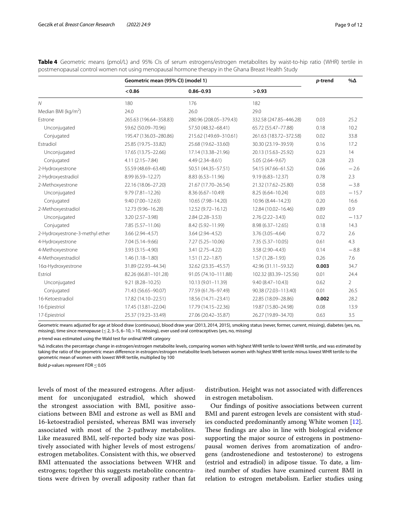|                                 | Geometric mean (95% CI) (model 1) |                        |                        |       | $\% \Delta$    |
|---------------------------------|-----------------------------------|------------------------|------------------------|-------|----------------|
|                                 | < 0.86                            | $0.86 - 0.93$          | > 0.93                 |       |                |
| $\mathcal N$                    | 180                               | 176                    | 182                    |       |                |
| Median BMI ( $kg/m2$ )          | 24.0                              | 26.0                   | 29.0                   |       |                |
| Estrone                         | 265.63 (196.64-358.83)            | 280.96 (208.05-379.43) | 332.58 (247.85-446.28) | 0.03  | 25.2           |
| Unconjugated                    | 59.62 (50.09-70.96)               | 57.50 (48.32-68.41)    | 65.72 (55.47-77.88)    | 0.18  | 10.2           |
| Conjugated                      | 195.47 (136.03-280.86)            | 215.62 (149.69-310.61) | 261.63 (183.72-372.58) | 0.02  | 33.8           |
| Estradiol                       | 25.85 (19.75-33.82)               | 25.68 (19.62-33.60)    | 30.30 (23.19-39.59)    | 0.16  | 17.2           |
| Unconjugated                    | 17.65 (13.75-22.66)               | 17.14 (13.38-21.96)    | 20.13 (15.63-25.92)    | 0.23  | 14             |
| Conjugated                      | 4.11 (2.15-7.84)                  | 4.49 (2.34-8.61)       | 5.05 (2.64-9.67)       | 0.28  | 23             |
| 2-Hydroxyestrone                | 55.59 (48.69-63.48)               | 50.51 (44.35 - 57.51)  | 54.15 (47.66-61.52)    | 0.66  | $-2.6$         |
| 2-Hydroxyestradiol              | 8.99 (6.59-12.27)                 | 8.83 (6.53-11.96)      | $9.19(6.83 - 12.37)$   | 0.78  | 2.3            |
| 2-Methoxyestrone                | 22.16 (18.06-27.20)               | 21.67 (17.70-26.54)    | 21.32 (17.62-25.80)    | 0.58  | $-3.8$         |
| Unconjugated                    | $9.79(7.81 - 12.26)$              | 8.36 (6.67-10.49)      | 8.25 (6.64-10.24)      | 0.03  | $-15.7$        |
| Conjugated                      | $9.40(7.00 - 12.63)$              | 10.65 (7.98-14.20)     | 10.96 (8.44-14.23)     | 0.20  | 16.6           |
| 2-Methoxyestradiol              | 12.73 (9.96-16.28)                | 12.52 (9.72-16.12)     | 12.84 (10.02-16.46)    | 0.89  | 0.9            |
| Unconjugated                    | $3.20(2.57 - 3.98)$               | $2.84(2.28 - 3.53)$    | $2.76(2.22 - 3.43)$    | 0.02  | $-13.7$        |
| Conjugated                      | 7.85 (5.57-11.06)                 | 8.42 (5.92-11.99)      | $8.98(6.37 - 12.65)$   | 0.18  | 14.3           |
| 2-Hydroxyestrone-3-methyl ether | 3.66 (2.94-4.57)                  | $3.64(2.94 - 4.52)$    | 3.76 (3.05-4.64)       | 0.72  | 2.6            |
| 4-Hydroxyestrone                | $7.04(5.14 - 9.66)$               | $7.27(5.25 - 10.06)$   | $7.35(5.37-10.05)$     | 0.61  | 4.3            |
| 4-Methoxyestrone                | 3.93 (3.15-4.90)                  | $3.41(2.75 - 4.22)$    | $3.58(2.90 - 4.43)$    | 0.14  | $-8.8$         |
| 4-Methoxyestradiol              | $1.46(1.18 - 1.80)$               | $1.51(1.22 - 1.87)$    | $1.57(1.28 - 1.93)$    | 0.26  | 7.6            |
| 16a-Hydroxyestrone              | 31.89 (22.93-44.34)               | 32.62 (23.35-45.57)    | 42.96 (31.11-59.32)    | 0.003 | 34.7           |
| Estriol                         | 82.26 (66.81-101.28)              | 91.05 (74.10-111.88)   | 102.32 (83.39-125.56)  | 0.01  | 24.4           |
| Unconjugated                    | $9.21(8.28 - 10.25)$              | 10.13 (9.01-11.39)     | $9.40(8.47 - 10.43)$   | 0.62  | $\overline{2}$ |
| Conjugated                      | 71.43 (56.65-90.07)               | 77.59 (61.76-97.49)    | 90.38 (72.03-113.40)   | 0.01  | 26.5           |
| 16-Ketoestradiol                | 17.82 (14.10-22.51)               | 18.56 (14.71-23.41)    | 22.85 (18.09-28.86)    | 0.002 | 28.2           |
| 16-Epiestriol                   | 17.45 (13.81-22.04)               | 17.79 (14.15-22.36)    | 19.87 (15.80-24.98)    | 0.08  | 13.9           |
| 17-Epiestriol                   | 25.37 (19.23-33.49)               | 27.06 (20.42-35.87)    | 26.27 (19.89-34.70)    | 0.63  | 3.5            |

<span id="page-8-0"></span>**Table 4** Geometric means (pmol/L) and 95% CIs of serum estrogens/estrogen metabolites by waist-to-hip ratio (WHR) tertile in postmenopausal control women not using menopausal hormone therapy in the Ghana Breast Health Study

Geometric means adjusted for age at blood draw (continuous), blood draw year (2013, 2014, 2015), smoking status (never, former, current, missing), diabetes (yes, no, missing), time since menopause ( $\leq$  2, 3–5, 6–10, > 10, missing), ever used oral contraceptives (yes, no, missing)

*p*-trend was estimated using the Wald test for ordinal WHR category

%Δ indicates the percentage change in estrogen/estrogen metabolite levels, comparing women with highest WHR tertile to lowest WHR tertile, and was estimated by taking the ratio of the geometric mean diference in estrogen/estrogen metabolite levels between women with highest WHR tertile minus lowest WHR tertile to the geometric mean of women with lowest WHR tertile, multiplied by 100

Bold *p*-values represent FDR≤0.05

levels of most of the measured estrogens. After adjustment for unconjugated estradiol, which showed the strongest association with BMI, positive associations between BMI and estrone as well as BMI and 16-ketoestradiol persisted, whereas BMI was inversely associated with most of the 2-pathway metabolites. Like measured BMI, self-reported body size was positively associated with higher levels of most estrogens/ estrogen metabolites. Consistent with this, we observed BMI attenuated the associations between WHR and estrogens; together this suggests metabolite concentrations were driven by overall adiposity rather than fat

distribution. Height was not associated with diferences in estrogen metabolism.

Our fndings of positive associations between current BMI and parent estrogen levels are consistent with studies conducted predominantly among White women [\[12](#page-10-11)]. These findings are also in line with biological evidence supporting the major source of estrogens in postmenopausal women derives from aromatization of androgens (androstenedione and testosterone) to estrogens (estriol and estradiol) in adipose tissue. To date, a limited number of studies have examined current BMI in relation to estrogen metabolism. Earlier studies using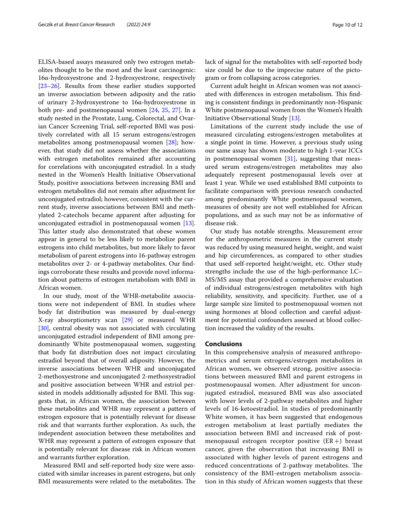ELISA-based assays measured only two estrogen metabolites thought to be the most and the least carcinogenic: 16α-hydroxyestrone and 2-hydroxyestrone, respectively [[23–](#page-11-6)[26](#page-11-7)]. Results from these earlier studies supported an inverse association between adiposity and the ratio of urinary 2-hydroxyestrone to 16α-hydroxyestrone in both pre- and postmenopausal women [[24,](#page-11-8) [25,](#page-11-9) [27](#page-11-10)]. In a study nested in the Prostate, Lung, Colorectal, and Ovarian Cancer Screening Trial, self-reported BMI was positively correlated with all 15 serum estrogens/estrogen metabolites among postmenopausal women [[28\]](#page-11-11); however, that study did not assess whether the associations with estrogen metabolites remained after accounting for correlations with unconjugated estradiol. In a study nested in the Women's Health Initiative Observational Study, positive associations between increasing BMI and estrogen metabolites did not remain after adjustment for unconjugated estradiol; however, consistent with the current study, inverse associations between BMI and methylated 2-catechols became apparent after adjusting for unconjugated estradiol in postmenopausal women [\[13](#page-10-12)]. This latter study also demonstrated that obese women appear in general to be less likely to metabolize parent estrogens into child metabolites, but more likely to favor metabolism of parent estrogens into 16-pathway estrogen metabolites over 2- or 4-pathway metabolites. Our fndings corroborate these results and provide novel information about patterns of estrogen metabolism with BMI in African women.

In our study, most of the WHR-metabolite associations were not independent of BMI. In studies where body fat distribution was measured by dual-energy X-ray absorptiometry scan [[29](#page-11-12)] or measured WHR [[30\]](#page-11-13), central obesity was not associated with circulating unconjugated estradiol independent of BMI among predominantly White postmenopausal women, suggesting that body fat distribution does not impact circulating estradiol beyond that of overall adiposity. However, the inverse associations between WHR and unconjugated 2-methoxyestrone and unconjugated 2-methoxyestradiol and positive association between WHR and estriol persisted in models additionally adjusted for BMI. This suggests that, in African women, the association between these metabolites and WHR may represent a pattern of estrogen exposure that is potentially relevant for disease risk and that warrants further exploration. As such, the independent association between these metabolites and WHR may represent a pattern of estrogen exposure that is potentially relevant for disease risk in African women and warrants further exploration.

Measured BMI and self-reported body size were associated with similar increases in parent estrogens, but only BMI measurements were related to the metabolites. The lack of signal for the metabolites with self-reported body size could be due to the imprecise nature of the pictogram or from collapsing across categories.

Current adult height in African women was not associated with differences in estrogen metabolism. This finding is consistent fndings in predominantly non-Hispanic White postmenopausal women from the Women's Health Initiative Observational Study [[13](#page-10-12)].

Limitations of the current study include the use of measured circulating estrogens/estrogen metabolites at a single point in time. However, a previous study using our same assay has shown moderate to high 1-year ICCs in postmenopausal women  $[31]$  $[31]$ , suggesting that measured serum estrogens/estrogen metabolites may also adequately represent postmenopausal levels over at least 1 year. While we used established BMI cutpoints to facilitate comparison with previous research conducted among predominantly White postmenopausal women, measures of obesity are not well established for African populations, and as such may not be as informative of disease risk.

Our study has notable strengths. Measurement error for the anthropometric measures in the current study was reduced by using measured height, weight, and waist and hip circumferences, as compared to other studies that used self-reported height/weight, etc. Other study strengths include the use of the high-performance LC– MS/MS assay that provided a comprehensive evaluation of individual estrogens/estrogen metabolites with high reliability, sensitivity, and specifcity. Further, use of a large sample size limited to postmenopausal women not using hormones at blood collection and careful adjustment for potential confounders assessed at blood collection increased the validity of the results.

# **Conclusions**

In this comprehensive analysis of measured anthropometrics and serum estrogens/estrogen metabolites in African women, we observed strong, positive associations between measured BMI and parent estrogens in postmenopausal women. After adjustment for unconjugated estradiol, measured BMI was also associated with lower levels of 2-pathway metabolites and higher levels of 16-ketoestradiol. In studies of predominantly White women, it has been suggested that endogenous estrogen metabolism at least partially mediates the association between BMI and increased risk of postmenopausal estrogen receptor positive  $(ER+)$  breast cancer, given the observation that increasing BMI is associated with higher levels of parent estrogens and reduced concentrations of 2-pathway metabolites. The consistency of the BMI-estrogen metabolism association in this study of African women suggests that these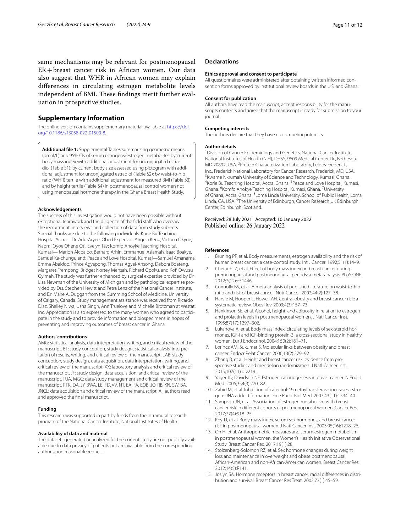same mechanisms may be relevant for postmenopausal ER+breast cancer risk in African women. Our data also suggest that WHR in African women may explain diferences in circulating estrogen metabolite levels independent of BMI. These findings merit further evaluation in prospective studies.

# **Supplementary Information**

The online version contains supplementary material available at [https://doi.](https://doi.org/10.1186/s13058-022-01500-8) [org/10.1186/s13058-022-01500-8](https://doi.org/10.1186/s13058-022-01500-8).

<span id="page-10-15"></span>**Additional fle 1:** Supplemental Tables summarizing geometric means (pmol/L) and 95% CIs of serum estrogens/estrogen metabolites by current body mass index with additional adjustment for unconjugated estradiol (Table S1); by current body size assessed using pictogram with additional adjustment for unconjugated estradiol (Table S2); by waist-to-hip ratio (WHR) tertile with additional adjustment for measured BMI (Table S3); and by height tertile (Table S4) in postmenopausal control women not using menopausal hormone therapy in the Ghana Breast Health Study.

#### **Acknowledgements**

The success of this investigation would not have been possible without exceptional teamwork and the diligence of the field staff who oversaw the recruitment, interviews and collection of data from study subjects. Special thanks are due to the following individuals: Korle Bu Teaching Hospital,Accra—Dr. Adu-Aryee, Obed Ekpedzor, Angela Kenu, Victoria Okyne, Naomi Oyoe Ohene Oti, Evelyn Tay; Komfo Anoyke Teaching Hospital, Kumasi— Marion Alcpaloo, Bernard Arhin, Emmanuel Asiamah, Isaac Boakye, Samuel Ka-chungu and; Peace and Love Hospital, Kumasi—Samuel Amanama, Emma Abaidoo, Prince Agyapong, Thomas Agyei-Ansong, Debora Boateng, Margaret Frempong, Bridget Nortey Mensah, Richard Opoku, and Kof Owusu Gyimah. The study was further enhanced by surgical expertise provided by Dr. Lisa Newman of the University of Michigan and by pathological expertise provided by Drs. Stephen Hewitt and Petra Lenz of the National Cancer Institute, and Dr. Maire A. Duggan from the Cumming School of Medicine, University of Calgary, Canada. Study management assistance was received from Ricardo Diaz, Shelley Niwa, Usha Singh, Ann Truelove and Michelle Brotzman at Westat, Inc. Appreciation is also expressed to the many women who agreed to participate in the study and to provide information and biospecimens in hopes of preventing and improving outcomes of breast cancer in Ghana.

#### **Authors' contributions**

AMG: statistical analysis, data interpretation, writing, and critical review of the manuscript. BT: study conception, study design, statistical analysis, interpre‑ tation of results, writing, and critical review of the manuscript. LAB: study conception, study design, data acquisition, data interpretation, writing, and critical review of the manuscript. XX: laboratory analysis and critical review of the manuscript. JF: study design, data acquisition, and critical review of the manuscript. TUA, MGC: data/study management and critical review of the manuscript. RTK, DA, JY, BWA, LE, FD, VV, NT, EA, FA, EOB, JO, RB, KN, SW, BA, JNCL: data acquisition and critical review of the manuscript. All authors read and approved the fnal manuscript.

#### **Funding**

This research was supported in part by funds from the intramural research program of the National Cancer Institute, National Institutes of Health.

#### **Availability of data and material**

The datasets generated or analyzed for the current study are not publicly available due to data privacy of patients but are available from the corresponding author upon reasonable request.

#### **Declarations**

#### **Ethics approval and consent to participate**

All questionnaires were administered after obtaining written informed consent on forms approved by institutional review boards in the U.S. and Ghana.

#### **Consent for publication**

All authors have read the manuscript, accept responsibility for the manuscripts contents and agree that the manuscript is ready for submission to your journal.

#### **Competing interests**

The authors declare that they have no competing interests.

#### **Author details**

<sup>1</sup> Division of Cancer Epidemiology and Genetics, National Cancer Institute, National Institutes of Health (NIH), DHSS, 9609 Medical Center Dr., Bethesda, MD 20892, USA. 2 Protein Characterization Laboratory, Leidos-Frederick, Inc., Frederick National Laboratory for Cancer Research, Frederick, MD, USA. 3 <sup>3</sup> Kwame Nkrumah University of Science and Technology, Kumasi, Ghana. Korle Bu Teaching Hospital, Accra, Ghana. <sup>5</sup> Peace and Love Hospital, Kumasi, Ghana. <sup>6</sup> Komfo Anokye Teaching Hospital, Kumasi, Ghana. <sup>7</sup> University of Ghana, Accra, Ghana. <sup>8</sup> Loma Linda University, School of Public Health, Loma Linda, CA, USA. <sup>9</sup>The University of Edinburgh, Cancer Research UK Edinburgh Center, Edinburgh, Scotland.

Received: 28 July 2021 Accepted: 10 January 2022 Published online: 26 January 2022

### **References**

- <span id="page-10-0"></span>Bruning PF, et al. Body measurements, estrogen availability and the risk of human breast cancer: a case-control study. Int J Cancer. 1992;51(1):14–9.
- <span id="page-10-2"></span>2. Cheraghi Z, et al. Effect of body mass index on breast cancer during premenopausal and postmenopausal periods: a meta-analysis. PLoS ONE. 2012;7(12):e51446.
- <span id="page-10-1"></span>3. Connolly BS, et al. A meta-analysis of published literature on waist-to-hip ratio and risk of breast cancer. Nutr Cancer. 2002;44(2):127–38.
- <span id="page-10-3"></span>4. Harvie M, Hooper L, Howell AH. Central obesity and breast cancer risk: a systematic review. Obes Rev. 2003;4(3):157–73.
- <span id="page-10-4"></span>5. Hankinson SE, et al. Alcohol, height, and adiposity in relation to estrogen and prolactin levels in postmenopausal women. J Natl Cancer Inst. 1995;87(17):1297–302.
- <span id="page-10-5"></span>6. Lukanova A, et al. Body mass index, circulating levels of sex-steroid hormones, IGF-I and IGF-binding protein-3: a cross-sectional study in healthy women. Eur J Endocrinol. 2004;150(2):161–71.
- <span id="page-10-6"></span>7. Lorincz AM, Sukumar S. Molecular links between obesity and breast cancer. Endocr Relat Cancer. 2006;13(2):279–92.
- <span id="page-10-7"></span>8. Zhang B, et al. Height and breast cancer risk: evidence from prospective studies and mendelian randomization. J Natl Cancer Inst. 2015;107(11):djv219.
- <span id="page-10-8"></span>9. Yager JD, Davidson NE. Estrogen carcinogenesis in breast cancer. N Engl J Med. 2006;354(3):270–82.
- <span id="page-10-9"></span>10. Zahid M, et al. Inhibition of catechol-O-methyltransferase increases estrogen-DNA adduct formation. Free Radic Biol Med. 2007;43(11):1534–40.
- <span id="page-10-10"></span>11. Sampson JN, et al. Association of estrogen metabolism with breast cancer risk in diferent cohorts of postmenopausal women. Cancer Res. 2017;77(4):918–25.
- <span id="page-10-11"></span>12. Key TJ, et al. Body mass index, serum sex hormones, and breast cancer risk in postmenopausal women. J Natl Cancer Inst. 2003;95(16):1218–26.
- <span id="page-10-12"></span>13. Oh H, et al. Anthropometric measures and serum estrogen metabolism in postmenopausal women: the Women's Health Initiative Observational Study. Breast Cancer Res. 2017;19(1):28.
- <span id="page-10-13"></span>14. Stolzenberg-Solomon RZ, et al. Sex hormone changes during weight loss and maintenance in overweight and obese postmenopausal African-American and non-African-American women. Breast Cancer Res. 2012;14(5):R141.
- <span id="page-10-14"></span>15. Joslyn SA. Hormone receptors in breast cancer: racial differences in distribution and survival. Breast Cancer Res Treat. 2002;73(1):45–59.